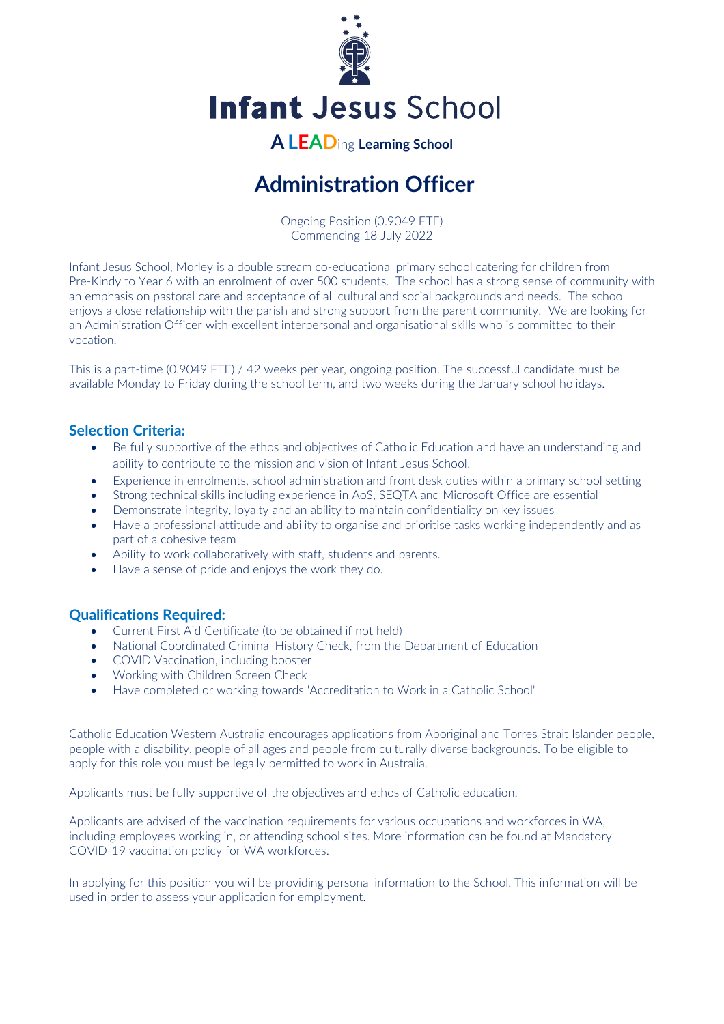

**Infant Jesus School** 

## **A LEAD**ing **Learning School**

# **Administration Officer**

Ongoing Position (0.9049 FTE) Commencing 18 July 2022

Infant Jesus School, Morley is a double stream co-educational primary school catering for children from Pre-Kindy to Year 6 with an enrolment of over 500 students. The school has a strong sense of community with an emphasis on pastoral care and acceptance of all cultural and social backgrounds and needs. The school enjoys a close relationship with the parish and strong support from the parent community. We are looking for an Administration Officer with excellent interpersonal and organisational skills who is committed to their vocation.

This is a part-time (0.9049 FTE) / 42 weeks per year, ongoing position. The successful candidate must be available Monday to Friday during the school term, and two weeks during the January school holidays.

### **Selection Criteria:**

- Be fully supportive of the ethos and objectives of Catholic Education and have an understanding and ability to contribute to the mission and vision of Infant Jesus School.
- Experience in enrolments, school administration and front desk duties within a primary school setting
- Strong technical skills including experience in AoS, SEQTA and Microsoft Office are essential
- Demonstrate integrity, loyalty and an ability to maintain confidentiality on key issues
- Have a professional attitude and ability to organise and prioritise tasks working independently and as part of a cohesive team
- Ability to work collaboratively with staff, students and parents.
- Have a sense of pride and enjoys the work they do.

#### **Qualifications Required:**

- Current First Aid Certificate (to be obtained if not held)
- National Coordinated Criminal History Check, from the Department of Education
- COVID Vaccination, including booster
- Working with Children Screen Check
- Have completed or working towards 'Accreditation to Work in a Catholic School'

Catholic Education Western Australia encourages applications from Aboriginal and Torres Strait Islander people, people with a disability, people of all ages and people from culturally diverse backgrounds. To be eligible to apply for this role you must be legally permitted to work in Australia.

Applicants must be fully supportive of the objectives and ethos of Catholic education.

Applicants are advised of the vaccination requirements for various occupations and workforces in WA, including employees working in, or attending school sites. More information can be found at Mandatory COVID-19 vaccination policy for WA workforces.

In applying for this position you will be providing personal information to the School. This information will be used in order to assess your application for employment.